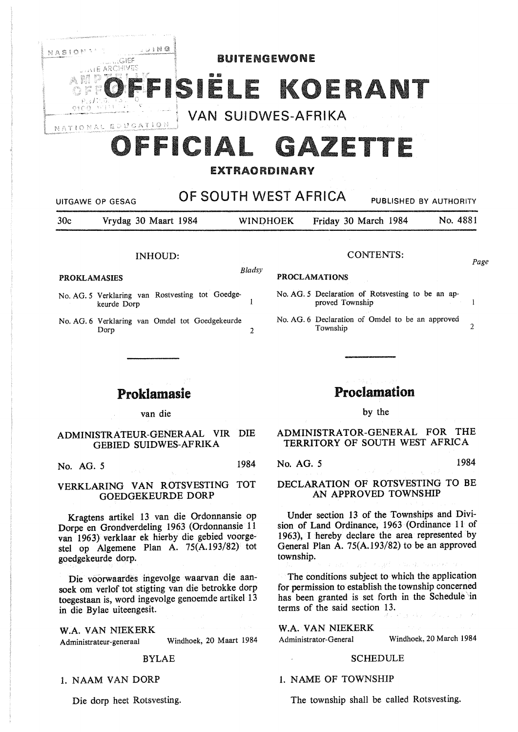

# FFICIAL GAZETTE

# EXTRAORDINARY

# UITGAWE OP GESAG **OF SOUTH WEST AFRICA** PUBLISHED BY AUTHORITY 30c Vrydag 30 Maart 1984 WINOHOEK Friday 30 March 1984 No. 4881 INHOUD: *Bladsy*  **PROKLAMASIES**  CONTENTS: **PROCLAMATIONS**  *Page*

- No. AG. 5 Verklaring van Rostvesting tot Goedge- $\mathbf{I}$ keurde Dorp
- No. AG. 6 Verklaring van Omdel tot Goedgekeurde<br>Dorp Dorp 2

# Proklamasie

van die

### **ADMINISTRATEUR-GENERAAL VIR DIE**  GEBIED SUIDWES-AFRIKA

**No. AG.** *5* 1984

### VERKLARING VAN ROTSVESTING TOT GOEDGEKEURDE DORP

Kragtens artikel 13 van die Ordonnansie op Dorpe en Grondverdeling 1963 (Ordonnansie 11 van 1963) verklaar ek hierby die gebied voorgestel op Algemene Plan A. 75(A.193/82) tot goedgekeurde dorp.

Die voorwaardes ingevolge waarvan die aansoek om verlof tot stigting van die betrokke dorp toegestaan is, word ingevolge genoemde artikel 13 in die Bylae uiteengesit.

W.A. VAN NIEKERK Administrateur-generaal Windhoek, 20 Maart 1984

#### BYLAE

### 1. NAAM VAN DORP

Die dorp heet Rotsvesting.

# Proclamation

No. AG. 5 Declaration of Rotsvesting to be an ap-

No. AG. 6 Declaration of Omdel to be an approved

Township 2

proved Township

by the

### ADMINISTRATOR-GENERAL FOR THE TERRITORY OF SOUTH WEST AFRICA

No. AG. *5* 1984

DECLARATION OF ROTSVESTING TO BE AN APPROVED TOWNSHIP

Under section 13 of the Townships and Division of Land Ordinance, 1963 (Ordinance 11 of 1963), I hereby declare the area represented by General Plan A. 75(A.193/82) to be an approved township.

The conditions subject to which the application for permission to establish the township concerned has been granted is set forth in the Schedule in terms of the said section 13.

**W.A. VAN NIEKERK**  Administrator-General Windhoek, 20 March 1984

#### SCHEDULE

### 1. NAME OF TOWNSHIP

The township shall be called Rotsvesting.

 $\mathbf{1}$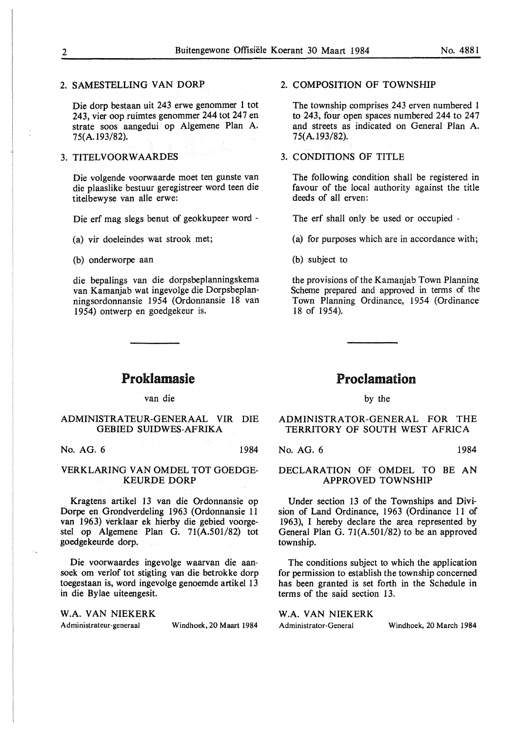### 2. SAMESTELLING VAN DORP

Die dorp bestaan uit 243 erwe genommer 1 tot 243, vier oop ruimtes genommer 244 tot 247 en strate soos aangedui op Algemene Plan A. 75(A.193/82).

### 3. TITELVOORWAARDES

Die volgende voorwaarde moet ten gunste van die plaaslike bestuur geregistreer word teen die titelbewyse van alle erwe:

Die erf mag slegs benut of geokkupeer word -

(a) vir doeleindes wat strook met;

(b) onderworpe aan

die bepalings van die dorpsbeplanningskema van Kamanjab wat ingevolge die Dorpsbeplanningsordonnansie 1954 (Ordonnansie 18 van 1954) ontwerp en goedgekeur is.

# Proklamasie

van die

### ADMINISTRA TEUR-GENERAAL VIR DIE GEBIED SUIDWES-AFRIKA

No. AG. 6 1984

### VERKLARING VAN OMDEL TOT GOEDGE-KEURDE DORP

Kragtens artikel 13 van die Ordonnansie op Dorpe en Grondverdeling 1963 (Ordonnansie 11 van 1963) verklaar ek hierby die gebied voorgestel op Algemene Plan G. 71(A.501/82) tot goedgekeurde dorp.

Die voorwaardes ingevolge waarvan die aansoek om verlof tot stigting van die betrokke dorp toegestaan is, word ingevolge genoemde artikel 13 in die Bylae uiteengesit.

W.A. VAN NIEKERK

Administrateur-generaal Windhoek, 20 Maart 1984

## 2. COMPOSITION OF TOWNSHIP

The township comprises 243 erven numbered 1 to 243, four open spaces numbered 244 to 247 and streets as indicated on General Plan A. 75(A.193/82).

#### 3. **CONDITIONS** OF TITLE

The following condition shall be registered in favour of the local authority against the title deeds of all erven:

The erf shall only be used or occupied -

(a) for purposes which are in accordance with;

(b) subject to

the provisions of the Kamanjab Town Planning Scheme prepared and approved in terms of the Town Planning Ordinance, 1954 (Ordinance 18 of 1954).

# Proclamation

by the

ADMINISTRATOR-GENERAL FOR THE TERRITORY OF SOUTH WEST AFRICA

No. AG. 6 1984

### DECLARATION OF OMDEL TO BE AN APPROVED TOWNSHIP

Under section 13 of the Townships and Division of Land Ordinance, 1963 (Ordinance 11 of 1963), I hereby declare the area represented by General Plan G. 71(A.501/82) to be an approved township.

The conditions subject to which the application for permission to establish the township concerned has been granted is set forth in the Schedule in terms of the said section 13.

W.A. VAN NIEKERK

Administrator-General Windhoek, 20 March 1984